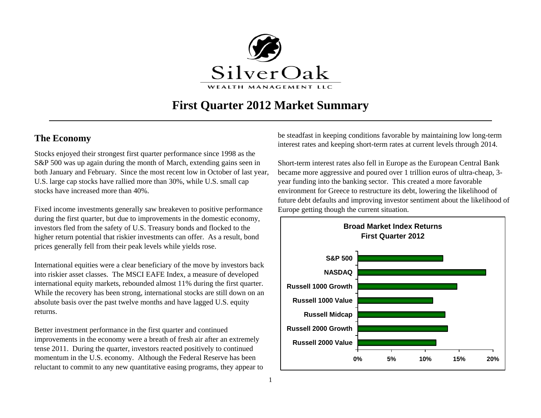

# **First Quarter 2012 Market Summary**

## **The Economy**

Stocks enjoyed their strongest first quarter performance since 1998 as the S&P 500 was up again during the month of March, extending gains seen in both January and February. Since the most recent low in October of last year, U.S. large cap stocks have rallied more than 30%, while U.S. small cap stocks have increased more than 40%.

Fixed income investments generally saw breakeven to positive performance during the first quarter, but due to improvements in the domestic economy, investors fled from the safety of U.S. Treasury bonds and flocked to the higher return potential that riskier investments can offer. As a result, bond prices generally fell from their peak levels while yields rose.

International equities were a clear beneficiary of the move by investors back into riskier asset classes. The MSCI EAFE Index, a measure of developed international equity markets, rebounded almost 11% during the first quarter. While the recovery has been strong, international stocks are still down on an absolute basis over the past twelve months and have lagged U.S. equity returns.

Better investment performance in the first quarter and continued improvements in the economy were a breath of fresh air after an extremely tense 2011. During the quarter, investors reacted positively to continued momentum in the U.S. economy. Although the Federal Reserve has been reluctant to commit to any new quantitative easing programs, they appear to be steadfast in keeping conditions favorable by maintaining low long-term interest rates and keeping short-term rates at current levels through 2014.

Short-term interest rates also fell in Europe as the European Central Bank became more aggressive and poured over 1 trillion euros of ultra-cheap, 3 year funding into the banking sector. This created a more favorable environment for Greece to restructure its debt, lowering the likelihood of future debt defaults and improving investor sentiment about the likelihood of Europe getting though the current situation.

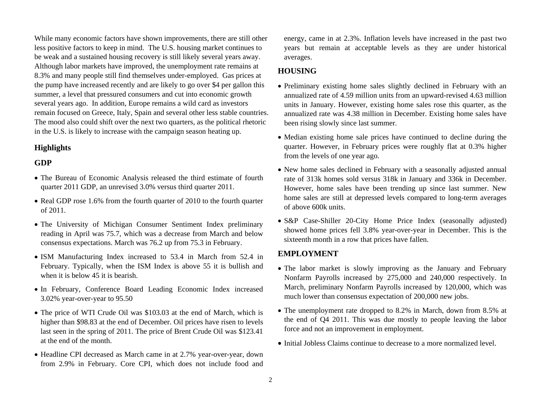While many economic factors have shown improvements, there are still other less positive factors to keep in mind. The U.S. housing market continues to be weak and a sustained housing recovery is still likely several years away. Although labor markets have improved, the unemployment rate remains at 8.3% and many people still find themselves under-employed. Gas prices at the pump have increased recently and are likely to go over \$4 per gallon this summer, a level that pressured consumers and cut into economic growth several years ago. In addition, Europe remains a wild card as investors remain focused on Greece, Italy, Spain and several other less stable countries. The mood also could shift over the next two quarters, as the political rhetoric in the U.S. is likely to increase with the campaign season heating up.

#### **Highlights**

### **GDP**

- The Bureau of Economic Analysis released the third estimate of fourth quarter 2011 GDP, an unrevised 3.0% versus third quarter 2011.
- Real GDP rose 1.6% from the fourth quarter of 2010 to the fourth quarter of 2011.
- The University of Michigan Consumer Sentiment Index preliminary reading in April was 75.7, which was a decrease from March and below consensus expectations. March was 76.2 up from 75.3 in February.
- ISM Manufacturing Index increased to 53.4 in March from 52.4 in February. Typically, when the ISM Index is above 55 it is bullish and when it is below 45 it is bearish.
- In February, Conference Board Leading Economic Index increased 3.02% year-over-year to 95.50
- The price of WTI Crude Oil was \$103.03 at the end of March, which is higher than \$98.83 at the end of December. Oil prices have risen to levels last seen in the spring of 2011. The price of Brent Crude Oil was \$123.41 at the end of the month.
- Headline CPI decreased as March came in at 2.7% year-over-year, down from 2.9% in February. Core CPI, which does not include food and

energy, came in at 2.3%. Inflation levels have increased in the past two years but remain at acceptable levels as they are under historical averages.

## **HOUSING**

- Preliminary existing home sales slightly declined in February with an annualized rate of 4.59 million units from an upward-revised 4.63 million units in January. However, existing home sales rose this quarter, as the annualized rate was 4.38 million in December. Existing home sales have been rising slowly since last summer.
- Median existing home sale prices have continued to decline during the quarter. However, in February prices were roughly flat at 0.3% higher from the levels of one year ago.
- New home sales declined in February with a seasonally adjusted annual rate of 313k homes sold versus 318k in January and 336k in December. However, home sales have been trending up since last summer. New home sales are still at depressed levels compared to long-term averages of above 600k units.
- S&P Case-Shiller 20-City Home Price Index (seasonally adjusted) showed home prices fell 3.8% year-over-year in December. This is the sixteenth month in a row that prices have fallen.

#### **EMPLOYMENT**

- The labor market is slowly improving as the January and February Nonfarm Payrolls increased by 275,000 and 240,000 respectively. In March, preliminary Nonfarm Payrolls increased by 120,000, which was much lower than consensus expectation of 200,000 new jobs.
- The unemployment rate dropped to 8.2% in March, down from 8.5% at the end of Q4 2011. This was due mostly to people leaving the labor force and not an improvement in employment.
- Initial Jobless Claims continue to decrease to a more normalized level.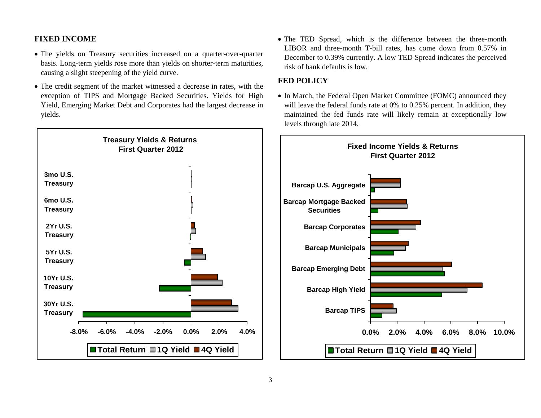#### **FIXED INCOME**

- The yields on Treasury securities increased on a quarter-over-quarter basis. Long-term yields rose more than yields on shorter-term maturities, causing a slight steepening of the yield curve.
- The credit segment of the market witnessed a decrease in rates, with the exception of TIPS and Mortgage Backed Securities. Yields for High Yield, Emerging Market Debt and Corporates had the largest decrease in yields.
- **Treasury Yields & Returns First Quarter 2012 -8.0% -6.0% -4.0% -2.0% 0.0% 2.0% 4.0%30Yr U.S.Treasury 10Yr U.S.Treasury 5Yr U.S.Treasury 2Yr U.S.Treasury 6mo U.S.Treasury 3mo U.S.Treasury Total Return 1Q Yield 4Q Yield**

• The TED Spread, which is the difference between the three-month LIBOR and three-month T-bill rates, has come down from 0.57% in December to 0.39% currently. A low TED Spread indicates the perceived risk of bank defaults is low.

#### **FED POLICY**

• In March, the Federal Open Market Committee (FOMC) announced they will leave the federal funds rate at 0% to 0.25% percent. In addition, they maintained the fed funds rate will likely remain at exceptionally low levels through late 2014.